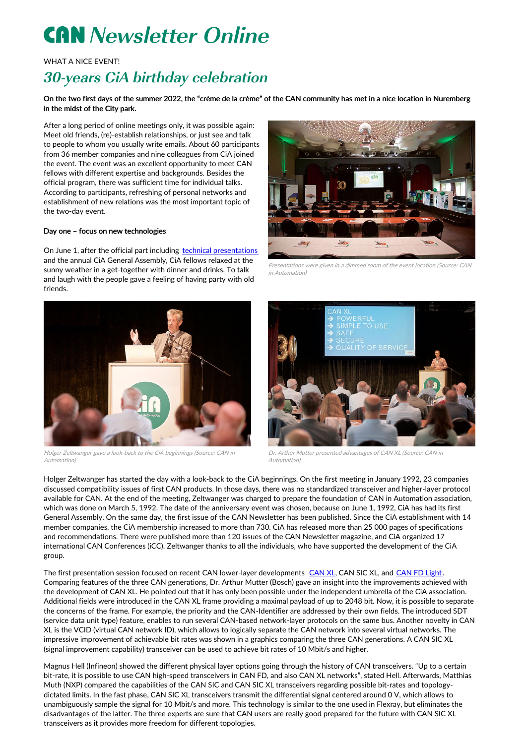# **CAN** Newsletter Online

WHAT A NICE EVENT!

## 30-years CiA birthday celebration

On the two first days of the summer 2022, the "crème de la crème" of the CAN community has met in a nice location in Nuremberg in the midst of the City park.

After a long period of online meetings only, it was possible again: Meet old friends, (re)-establish relationships, or just see and talk to people to whom you usually write emails. About 60 participants from 36 member companies and nine colleagues from CiA joined the event. The event was an excellent opportunity to meet CAN fellows with different expertise and backgrounds. Besides the official program, there was sufficient time for individual talks. According to participants, refreshing of personal networks and establishment of new relations was the most important topic of the two-day event.

### Day one – focus on new technologies

On June 1, after the official part including technical [presentations](https://www.can-cia.org/30) and the annual CiA General Assembly, CiA fellows relaxed at the sunny weather in a get-together with dinner and drinks. To talk and laugh with the people gave a feeling of having party with old friends.



Holger Zeltwanger gave <sup>a</sup> look-back to the CiA beginnings (Source: CAN in Automation)



Presentations were given in <sup>a</sup> dimmed room of the event location (Source: CAN in Automation)



Dr. Arthur Mutter presented advantages of CAN XL (Source: CAN in Automation)

Holger Zeltwanger has started the day with a look-back to the CiA beginnings. On the first meeting in January 1992, 23 companies discussed compatibility issues of first CAN products. In those days, there was no standardized transceiver and higher-layer protocol available for CAN. At the end of the meeting, Zeltwanger was charged to prepare the foundation of CAN in Automation association, which was done on March 5, 1992. The date of the anniversary event was chosen, because on June 1, 1992, CiA has had its first General Assembly. On the same day, the first issue of the CAN Newsletter has been published. Since the CiA establishment with 14 member companies, the CiA membership increased to more than 730. CiA has released more than 25 000 pages of specifications and recommendations. There were published more than 120 issues of the CAN Newsletter magazine, and CiA organized 17 international CAN Conferences (iCC). Zeltwanger thanks to all the individuals, who have supported the development of the CiA group.

The first presentation session focused on recent [CAN](https://www.can-cia.org/can-knowledge/can/can-xl/) lower-layer developments CAN XL, CAN SIC XL, and CAN FD [Light](https://can-newsletter.org/engineering/standardization/210920_simplified-can-fd-data-link-layer_can-fd-light_cia-604-1_cia). Comparing features of the three CAN generations, Dr. Arthur Mutter (Bosch) gave an insight into the improvements achieved with the development of CAN XL. He pointed out that it has only been possible under the independent umbrella of the CiA association. Additional fields were introduced in the CAN XL frame providing a maximal payload of up to 2048 bit. Now, it is possible to separate the concerns of the frame. For example, the priority and the CAN-Identifier are addressed by their own fields. The introduced SDT (service data unit type) feature, enables to run several CAN-based network-layer protocols on the same bus. Another novelty in CAN XL is the VCID (virtual CAN network ID), which allows to logically separate the CAN network into several virtual networks. The impressive improvement of achievable bit rates was shown in a graphics comparing the three CAN generations. A CAN SIC XL (signal improvement capability) transceiver can be used to achieve bit rates of 10 Mbit/s and higher.

Magnus Hell (Infineon) showed the different physical layer options going through the history of CAN transceivers. "Up to a certain bit-rate, it is possible to use CAN high-speed transceivers in CAN FD, and also CAN XL networks", stated Hell. Afterwards, Matthias Muth (NXP) compared the capabilities of the CAN SIC and CAN SIC XL transceivers regarding possible bit-rates and topologydictated limits. In the fast phase, CAN SIC XL transceivers transmit the differential signal centered around 0 V, which allows to unambiguously sample the signal for 10 Mbit/s and more. This technology is similar to the one used in Flexray, but eliminates the disadvantages of the latter. The three experts are sure that CAN users are really good prepared for the future with CAN SIC XL transceivers as it provides more freedom for different topologies.